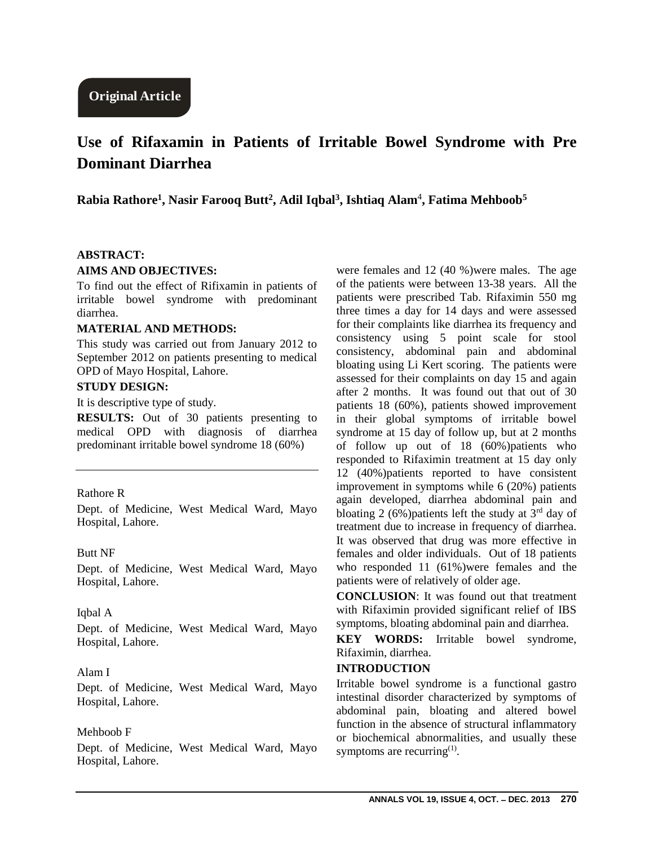# **Use of Rifaxamin in Patients of Irritable Bowel Syndrome with Pre Dominant Diarrhea**

**Rabia Rathore<sup>1</sup> , Nasir Farooq Butt<sup>2</sup> , Adil Iqbal<sup>3</sup> , Ishtiaq Alam**<sup>4</sup> **, Fatima Mehboob<sup>5</sup>**

#### **ABSTRACT:**

#### **AIMS AND OBJECTIVES:**

To find out the effect of Rifixamin in patients of irritable bowel syndrome with predominant diarrhea.

## **MATERIAL AND METHODS:**

This study was carried out from January 2012 to September 2012 on patients presenting to medical OPD of Mayo Hospital, Lahore.

### **STUDY DESIGN:**

It is descriptive type of study.

**RESULTS:** Out of 30 patients presenting to medical OPD with diagnosis of diarrhea predominant irritable bowel syndrome 18 (60%)

#### Rathore R

Dept. of Medicine, West Medical Ward, Mayo Hospital, Lahore.

#### Butt NF

Dept. of Medicine, West Medical Ward, Mayo Hospital, Lahore.

#### Iqbal A

Dept. of Medicine, West Medical Ward, Mayo Hospital, Lahore.

## Alam I

Dept. of Medicine, West Medical Ward, Mayo Hospital, Lahore.

#### Mehboob F

Dept. of Medicine, West Medical Ward, Mayo Hospital, Lahore.

were females and 12 (40 %)were males. The age of the patients were between 13-38 years. All the patients were prescribed Tab. Rifaximin 550 mg three times a day for 14 days and were assessed for their complaints like diarrhea its frequency and consistency using 5 point scale for stool consistency, abdominal pain and abdominal bloating using Li Kert scoring. The patients were assessed for their complaints on day 15 and again after 2 months. It was found out that out of 30 patients 18 (60%), patients showed improvement in their global symptoms of irritable bowel syndrome at 15 day of follow up, but at 2 months of follow up out of 18 (60%)patients who responded to Rifaximin treatment at 15 day only 12 (40%)patients reported to have consistent improvement in symptoms while 6 (20%) patients again developed, diarrhea abdominal pain and bloating 2 (6%)patients left the study at  $3<sup>rd</sup>$  day of treatment due to increase in frequency of diarrhea. It was observed that drug was more effective in females and older individuals. Out of 18 patients who responded 11 (61%)were females and the patients were of relatively of older age.

**CONCLUSION**: It was found out that treatment with Rifaximin provided significant relief of IBS symptoms, bloating abdominal pain and diarrhea.

**KEY WORDS:** Irritable bowel syndrome, Rifaximin, diarrhea.

#### **INTRODUCTION**

Irritable bowel syndrome is a functional gastro intestinal disorder characterized by symptoms of abdominal pain, bloating and altered bowel function in the absence of structural inflammatory or biochemical abnormalities, and usually these symptoms are recurring $<sup>(1)</sup>$ .</sup>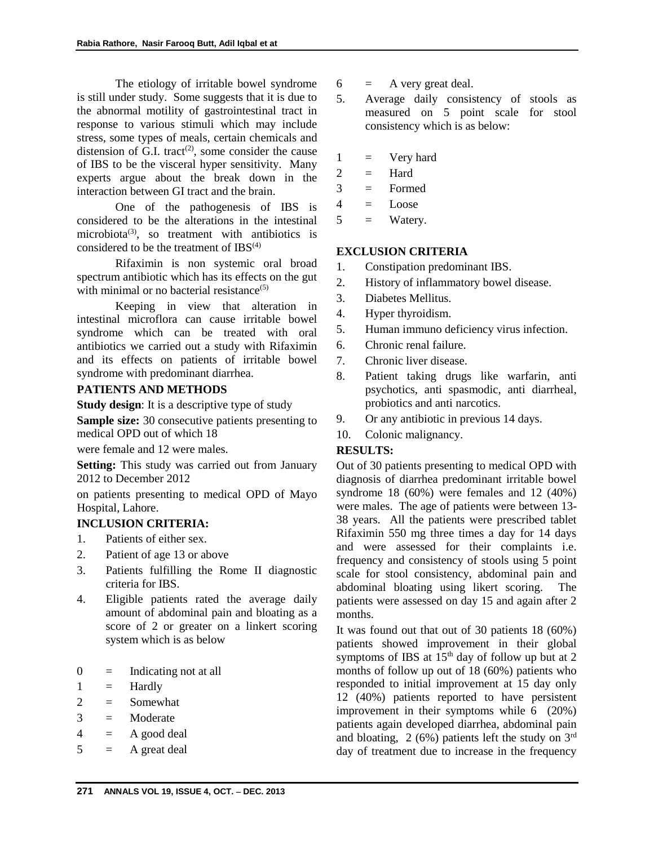The etiology of irritable bowel syndrome is still under study. Some suggests that it is due to the abnormal motility of gastrointestinal tract in response to various stimuli which may include stress, some types of meals, certain chemicals and distension of G.I. tract<sup>(2)</sup>, some consider the cause of IBS to be the visceral hyper sensitivity. Many experts argue about the break down in the interaction between GI tract and the brain.

One of the pathogenesis of IBS is considered to be the alterations in the intestinal microbiota<sup>(3)</sup>, so treatment with antibiotics is considered to be the treatment of  $IBS<sup>(4)</sup>$ 

Rifaximin is non systemic oral broad spectrum antibiotic which has its effects on the gut with minimal or no bacterial resistance $(5)$ 

Keeping in view that alteration in intestinal microflora can cause irritable bowel syndrome which can be treated with oral antibiotics we carried out a study with Rifaximin and its effects on patients of irritable bowel syndrome with predominant diarrhea.

## **PATIENTS AND METHODS**

**Study design**: It is a descriptive type of study

**Sample size:** 30 consecutive patients presenting to medical OPD out of which 18

were female and 12 were males.

**Setting:** This study was carried out from January 2012 to December 2012

on patients presenting to medical OPD of Mayo Hospital, Lahore.

## **INCLUSION CRITERIA:**

- 1. Patients of either sex.
- 2. Patient of age 13 or above
- 3. Patients fulfilling the Rome II diagnostic criteria for IBS.
- 4. Eligible patients rated the average daily amount of abdominal pain and bloating as a score of 2 or greater on a linkert scoring system which is as below
- $0 =$  Indicating not at all
- $1 =$  Hardly
- $2 =$  Somewhat
- $3 =$  Moderate
- $4 = A$  good deal
- $5 = A$  great deal
- $6 = A$  very great deal.
- 5. Average daily consistency of stools as measured on 5 point scale for stool consistency which is as below:
- $1 = V$ ery hard
- $2 =$  Hard
- 3 = Formed
- $4 = \text{Loose}$
- $5 =$  Watery.

## **EXCLUSION CRITERIA**

- 1. Constipation predominant IBS.
- 2. History of inflammatory bowel disease.
- 3. Diabetes Mellitus.
- 4. Hyper thyroidism.
- 5. Human immuno deficiency virus infection.
- 6. Chronic renal failure.
- 7. Chronic liver disease.
- 8. Patient taking drugs like warfarin, anti psychotics, anti spasmodic, anti diarrheal, probiotics and anti narcotics.
- 9. Or any antibiotic in previous 14 days.
- 10. Colonic malignancy.

## **RESULTS:**

Out of 30 patients presenting to medical OPD with diagnosis of diarrhea predominant irritable bowel syndrome 18 (60%) were females and 12 (40%) were males. The age of patients were between 13- 38 years. All the patients were prescribed tablet Rifaximin 550 mg three times a day for 14 days and were assessed for their complaints i.e. frequency and consistency of stools using 5 point scale for stool consistency, abdominal pain and abdominal bloating using likert scoring. The patients were assessed on day 15 and again after 2 months.

It was found out that out of 30 patients 18 (60%) patients showed improvement in their global symptoms of IBS at  $15<sup>th</sup>$  day of follow up but at 2 months of follow up out of 18 (60%) patients who responded to initial improvement at 15 day only 12 (40%) patients reported to have persistent improvement in their symptoms while 6 (20%) patients again developed diarrhea, abdominal pain and bloating,  $2(6%)$  patients left the study on  $3<sup>rd</sup>$ day of treatment due to increase in the frequency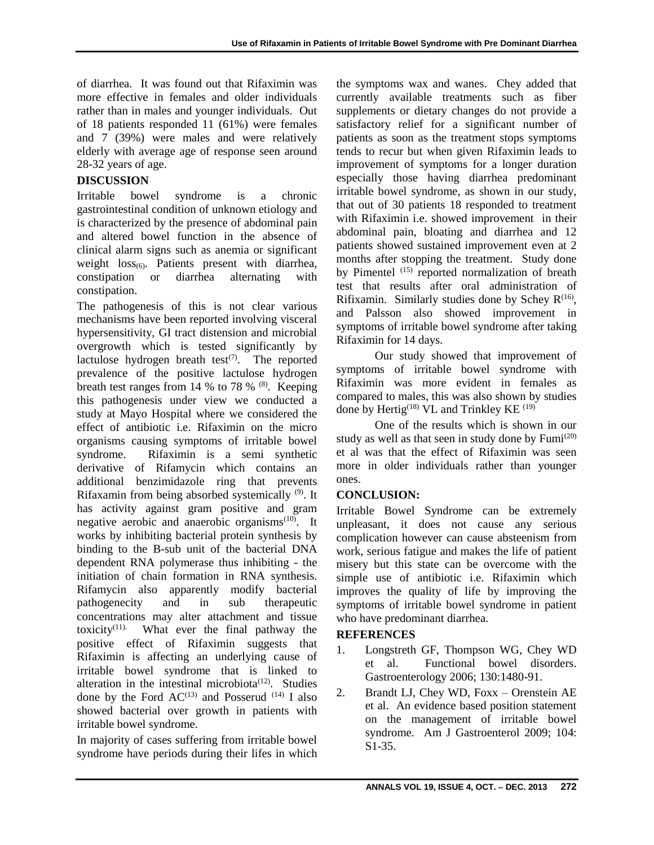of diarrhea. It was found out that Rifaximin was more effective in females and older individuals rather than in males and younger individuals. Out of 18 patients responded 11 (61%) were females and 7 (39%) were males and were relatively elderly with average age of response seen around 28-32 years of age.

## **DISCUSSION**

Irritable bowel syndrome is a chronic gastrointestinal condition of unknown etiology and is characterized by the presence of abdominal pain and altered bowel function in the absence of clinical alarm signs such as anemia or significant weight  $loss_{(6)}$ . Patients present with diarrhea, constipation or diarrhea alternating with constipation.

The pathogenesis of this is not clear various mechanisms have been reported involving visceral hypersensitivity, GI tract distension and microbial overgrowth which is tested significantly by lactulose hydrogen breath test $(7)$ . The reported prevalence of the positive lactulose hydrogen breath test ranges from 14 % to 78 %  $(8)$ . Keeping this pathogenesis under view we conducted a study at Mayo Hospital where we considered the effect of antibiotic i.e. Rifaximin on the micro organisms causing symptoms of irritable bowel syndrome. Rifaximin is a semi synthetic derivative of Rifamycin which contains an additional benzimidazole ring that prevents Rifaxamin from being absorbed systemically (9). It has activity against gram positive and gram negative aerobic and anaerobic organisms<sup>(10)</sup>. It works by inhibiting bacterial protein synthesis by binding to the B-sub unit of the bacterial DNA dependent RNA polymerase thus inhibiting - the initiation of chain formation in RNA synthesis. Rifamycin also apparently modify bacterial pathogenecity and in sub therapeutic concentrations may alter attachment and tissue toxicity $(11)$ . What ever the final pathway the positive effect of Rifaximin suggests that Rifaximin is affecting an underlying cause of irritable bowel syndrome that is linked to alteration in the intestinal microbiota<sup> $(12)$ </sup>. Studies done by the Ford  $AC^{(13)}$  and Posserud  $^{(14)}$  I also showed bacterial over growth in patients with irritable bowel syndrome.

In majority of cases suffering from irritable bowel syndrome have periods during their lifes in which the symptoms wax and wanes. Chey added that currently available treatments such as fiber supplements or dietary changes do not provide a satisfactory relief for a significant number of patients as soon as the treatment stops symptoms tends to recur but when given Rifaximin leads to improvement of symptoms for a longer duration especially those having diarrhea predominant irritable bowel syndrome, as shown in our study, that out of 30 patients 18 responded to treatment with Rifaximin i.e. showed improvement in their abdominal pain, bloating and diarrhea and 12 patients showed sustained improvement even at 2 months after stopping the treatment. Study done by Pimentel (15) reported normalization of breath test that results after oral administration of Rifixamin. Similarly studies done by Schey  $R^{(16)}$ , and Palsson also showed improvement in symptoms of irritable bowel syndrome after taking Rifaximin for 14 days.

Our study showed that improvement of symptoms of irritable bowel syndrome with Rifaximin was more evident in females as compared to males, this was also shown by studies done by Hertig<sup>(18)</sup> VL and Trinkley KE<sup> $(19)$ </sup>

One of the results which is shown in our study as well as that seen in study done by  $Fumi^{(20)}$ et al was that the effect of Rifaximin was seen more in older individuals rather than younger ones.

## **CONCLUSION:**

Irritable Bowel Syndrome can be extremely unpleasant, it does not cause any serious complication however can cause absteenism from work, serious fatigue and makes the life of patient misery but this state can be overcome with the simple use of antibiotic i.e. Rifaximin which improves the quality of life by improving the symptoms of irritable bowel syndrome in patient who have predominant diarrhea.

## **REFERENCES**

- 1. Longstreth GF, Thompson WG, Chey WD et al. Functional bowel disorders. Gastroenterology 2006; 130:1480-91.
- 2. Brandt LJ, Chey WD, Foxx Orenstein AE et al. An evidence based position statement on the management of irritable bowel syndrome. Am J Gastroenterol 2009; 104: S1-35.